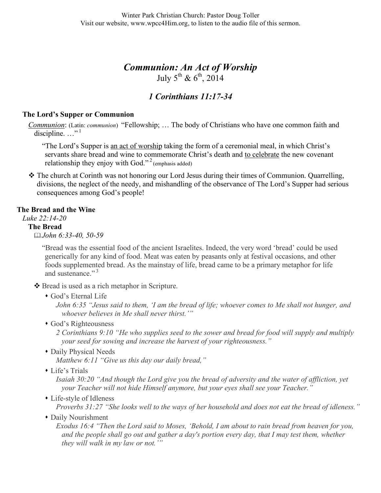# *Communion: An Act of Worship*  July  $5^{th}$  &  $6^{th}$ , 2014

## *1 Corinthians 11:17-34*

### **The Lord's Supper or Communion**

*Communion*: (Latin: *communion*) "Fellowship; … The body of Christians who have one common faith and discipline.  $\ldots$ <sup>"1</sup>

"The Lord's Supper is an act of worship taking the form of a ceremonial meal, in which Christ's servants share bread and wine to commemorate Christ's death and to celebrate the new covenant relationship they enjoy with God."<sup>2</sup> (emphasis added)

 The church at Corinth was not honoring our Lord Jesus during their times of Communion. Quarrelling, divisions, the neglect of the needy, and mishandling of the observance of The Lord's Supper had serious consequences among God's people!

## **The Bread and the Wine**

*Luke 22:14-20*

### **The Bread**

*John 6:33-40, 50-59*

"Bread was the essential food of the ancient Israelites. Indeed, the very word 'bread' could be used generically for any kind of food. Meat was eaten by peasants only at festival occasions, and other foods supplemented bread. As the mainstay of life, bread came to be a primary metaphor for life and sustenance."<sup>3</sup>

- ❖ Bread is used as a rich metaphor in Scripture.
	- God's Eternal Life

*John 6:35 "Jesus said to them, 'I am the bread of life; whoever comes to Me shall not hunger, and whoever believes in Me shall never thirst.'"*

God's Righteousness

*2 Corinthians 9:10 "He who supplies seed to the sower and bread for food will supply and multiply your seed for sowing and increase the harvest of your righteousness."*

Daily Physical Needs

*Matthew 6:11 "Give us this day our daily bread,"*

Life's Trials

Isaiah 30:20 "And though the Lord give you the bread of adversity and the water of affliction, yet *your Teacher will not hide Himself anymore, but your eyes shall see your Teacher."*

Life-style of Idleness

*Proverbs 31:27 "She looks well to the ways of her household and does not eat the bread of idleness."*

Daily Nourishment

*Exodus 16:4 "Then the Lord said to Moses, 'Behold, I am about to rain bread from heaven for you, and the people shall go out and gather a day's portion every day, that I may test them, whether they will walk in my law or not.'"*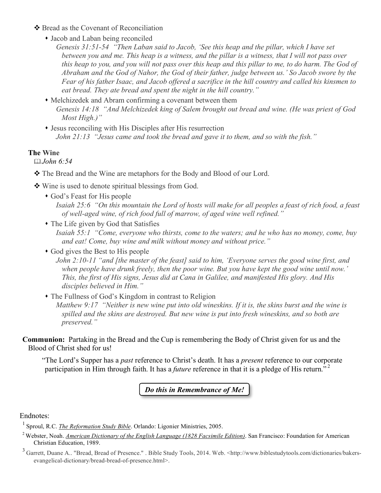- **❖ Bread as the Covenant of Reconciliation** 
	- Jacob and Laban being reconciled
		- *Genesis 31:51-54 "Then Laban said to Jacob, 'See this heap and the pillar, which I have set between you and me. This heap is a witness, and the pillar is a witness, that I will not pass over this heap to you, and you will not pass over this heap and this pillar to me, to do harm. The God of Abraham and the God of Nahor, the God of their father, judge between us.' So Jacob swore by the Fear of his father Isaac, and Jacob offered a sacrifice in the hill country and called his kinsmen to eat bread. They ate bread and spent the night in the hill country."*
	- Melchizedek and Abram confirming a covenant between them *Genesis 14:18 "And Melchizedek king of Salem brought out bread and wine. (He was priest of God Most High.)"*
	- Jesus reconciling with His Disciples after His resurrection *John 21:13 "Jesus came and took the bread and gave it to them, and so with the fish."*

#### **The Wine**

*John 6:54*

- The Bread and the Wine are metaphors for the Body and Blood of our Lord.
- Wine is used to denote spiritual blessings from God.
	- God's Feast for His people *Isaiah 25:6 "On this mountain the Lord of hosts will make for all peoples a feast of rich food, a feast of well-aged wine, of rich food full of marrow, of aged wine well refined."*
	- The Life given by God that Satisfies
		- *Isaiah 55:1 "Come, everyone who thirsts, come to the waters; and he who has no money, come, buy and eat! Come, buy wine and milk without money and without price."*
	- God gives the Best to His people
		- *John 2:10-11 "and [the master of the feast] said to him, 'Everyone serves the good wine first, and when people have drunk freely, then the poor wine. But you have kept the good wine until now.' This, the first of His signs, Jesus did at Cana in Galilee, and manifested His glory. And His disciples believed in Him."*
	- The Fullness of God's Kingdom in contrast to Religion *Matthew 9:17 "Neither is new wine put into old wineskins. If it is, the skins burst and the wine is spilled and the skins are destroyed. But new wine is put into fresh wineskins, and so both are preserved."*

**Communion:** Partaking in the Bread and the Cup is remembering the Body of Christ given for us and the Blood of Christ shed for us!

"The Lord's Supper has a *past* reference to Christ's death. It has a *present* reference to our corporate participation in Him through faith. It has a *future* reference in that it is a pledge of His return.<sup>5, 2</sup>

*Do this in Remembrance of Me!*

Endnotes:

<sup>1</sup> Sproul, R.C. *The Reformation Study Bible*. Orlando: Ligonier Ministries, 2005.

- 2 Webster, Noah. *American Dictionary of the English Language (1828 Facsimile Edition)*. San Francisco: Foundation for American Christian Education, 1989.
- <sup>3</sup> Garrett, Duane A.. "Bread, Bread of Presence." . Bible Study Tools, 2014. Web. <http://www.biblestudytools.com/dictionaries/bakersevangelical-dictionary/bread-bread-of-presence.html>.